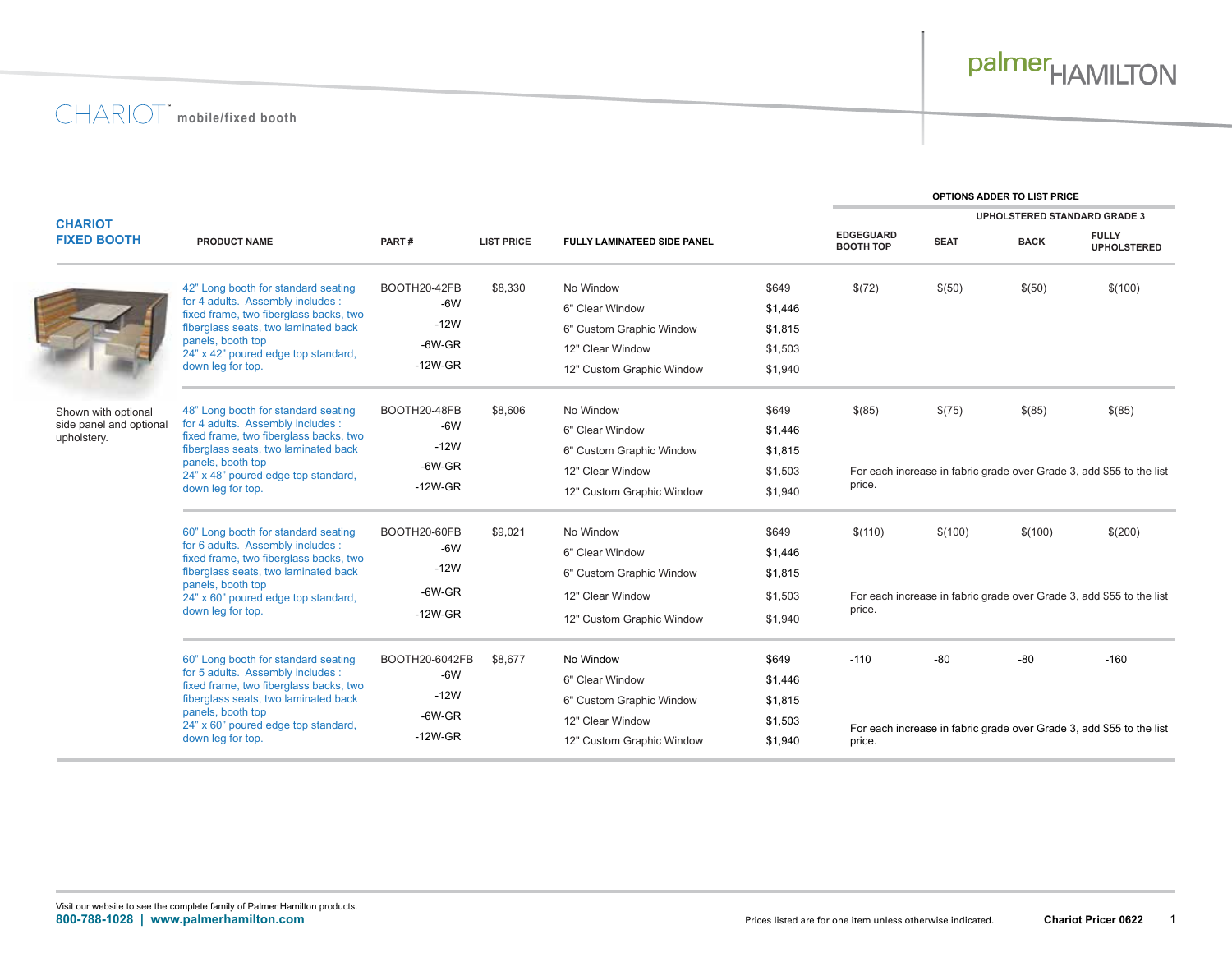

**OPTIONS ADDER TO LIST PRICE**

| <b>CHARIOT</b>                                                |                                                                                                                                                                                                                                             |                            |                         |                              |                  |                                      | <b>UPHOLSTERED STANDARD GRADE 3</b>                                  |             |                                                                      |
|---------------------------------------------------------------|---------------------------------------------------------------------------------------------------------------------------------------------------------------------------------------------------------------------------------------------|----------------------------|-------------------------|------------------------------|------------------|--------------------------------------|----------------------------------------------------------------------|-------------|----------------------------------------------------------------------|
| <b>FIXED BOOTH</b>                                            | <b>PRODUCT NAME</b>                                                                                                                                                                                                                         | PART#<br><b>LIST PRICE</b> |                         | FULLY LAMINATEED SIDE PANEL  |                  | <b>EDGEGUARD</b><br><b>BOOTH TOP</b> | <b>SEAT</b>                                                          | <b>BACK</b> | <b>FULLY</b><br><b>UPHOLSTERED</b>                                   |
|                                                               | 42" Long booth for standard seating<br>for 4 adults. Assembly includes :<br>fixed frame, two fiberglass backs, two<br>fiberglass seats, two laminated back<br>panels, booth top<br>24" x 42" poured edge top standard,<br>down leg for top. | BOOTH20-42FB<br>$-6W$      | \$8,330<br>$-12W$       | No Window<br>6" Clear Window | \$649<br>\$1,446 | \$(72)                               | \$(50)                                                               | \$(50)      | \$(100)                                                              |
|                                                               |                                                                                                                                                                                                                                             |                            |                         | 6" Custom Graphic Window     | \$1,815          |                                      |                                                                      |             |                                                                      |
|                                                               |                                                                                                                                                                                                                                             | $-6W$ -GR                  |                         | 12" Clear Window             | \$1,503          |                                      |                                                                      |             |                                                                      |
|                                                               |                                                                                                                                                                                                                                             | $-12W$ -GR                 |                         | 12" Custom Graphic Window    | \$1,940          |                                      |                                                                      |             |                                                                      |
| Shown with optional<br>side panel and optional<br>upholstery. | 48" Long booth for standard seating<br>for 4 adults. Assembly includes :<br>fixed frame, two fiberglass backs, two<br>fiberglass seats, two laminated back<br>panels, booth top<br>24" x 48" poured edge top standard,<br>down leg for top. | BOOTH20-48FB               | \$8,606                 | No Window                    | \$649            | \$(85)                               | \$(75)                                                               | \$(85)      | \$(85)                                                               |
|                                                               |                                                                                                                                                                                                                                             | $-6W$                      |                         | 6" Clear Window              | \$1,446          |                                      |                                                                      |             |                                                                      |
|                                                               |                                                                                                                                                                                                                                             | $-12W$                     | $-6W$ -GR<br>$-12W$ -GR | 6" Custom Graphic Window     | \$1,815          |                                      |                                                                      |             |                                                                      |
|                                                               |                                                                                                                                                                                                                                             |                            |                         | 12" Clear Window             | \$1,503          |                                      | For each increase in fabric grade over Grade 3, add \$55 to the list |             |                                                                      |
|                                                               |                                                                                                                                                                                                                                             |                            |                         | 12" Custom Graphic Window    | \$1,940          | price.                               |                                                                      |             |                                                                      |
|                                                               | 60" Long booth for standard seating<br>for 6 adults. Assembly includes :<br>fixed frame, two fiberglass backs, two<br>fiberglass seats, two laminated back<br>panels, booth top<br>24" x 60" poured edge top standard,<br>down leg for top. | BOOTH20-60FB               | \$9,021                 | No Window                    | \$649            | \$(110)                              | \$(100)                                                              | \$(100)     | \$(200)                                                              |
|                                                               |                                                                                                                                                                                                                                             |                            | $-6W$                   | 6" Clear Window              | \$1,446          |                                      |                                                                      |             |                                                                      |
|                                                               |                                                                                                                                                                                                                                             | $-12W$                     |                         | 6" Custom Graphic Window     | \$1,815          |                                      |                                                                      |             |                                                                      |
|                                                               |                                                                                                                                                                                                                                             | $-6W$ -GR                  |                         | 12" Clear Window             | \$1,503          |                                      |                                                                      |             | For each increase in fabric grade over Grade 3, add \$55 to the list |
|                                                               |                                                                                                                                                                                                                                             | $-12W$ -GR                 |                         | 12" Custom Graphic Window    | \$1,940          | price.                               |                                                                      |             |                                                                      |
|                                                               | 60" Long booth for standard seating<br>for 5 adults. Assembly includes :<br>fixed frame, two fiberglass backs, two<br>fiberglass seats, two laminated back                                                                                  | BOOTH20-6042FB             | \$8,677                 | No Window                    | \$649            | $-110$                               | $-80$                                                                | $-80$       | $-160$                                                               |
|                                                               |                                                                                                                                                                                                                                             | $-6W$<br>$-12W$            |                         | 6" Clear Window              | \$1,446          |                                      |                                                                      |             |                                                                      |
|                                                               |                                                                                                                                                                                                                                             |                            |                         | 6" Custom Graphic Window     | \$1,815          |                                      |                                                                      |             |                                                                      |
|                                                               | panels, booth top<br>24" x 60" poured edge top standard,                                                                                                                                                                                    | $-6W$ -GR                  |                         | 12" Clear Window             | \$1,503          |                                      |                                                                      |             | For each increase in fabric grade over Grade 3, add \$55 to the list |
|                                                               | down leg for top.                                                                                                                                                                                                                           | $-12W$ -GR                 |                         | 12" Custom Graphic Window    | \$1,940          | price.                               |                                                                      |             |                                                                      |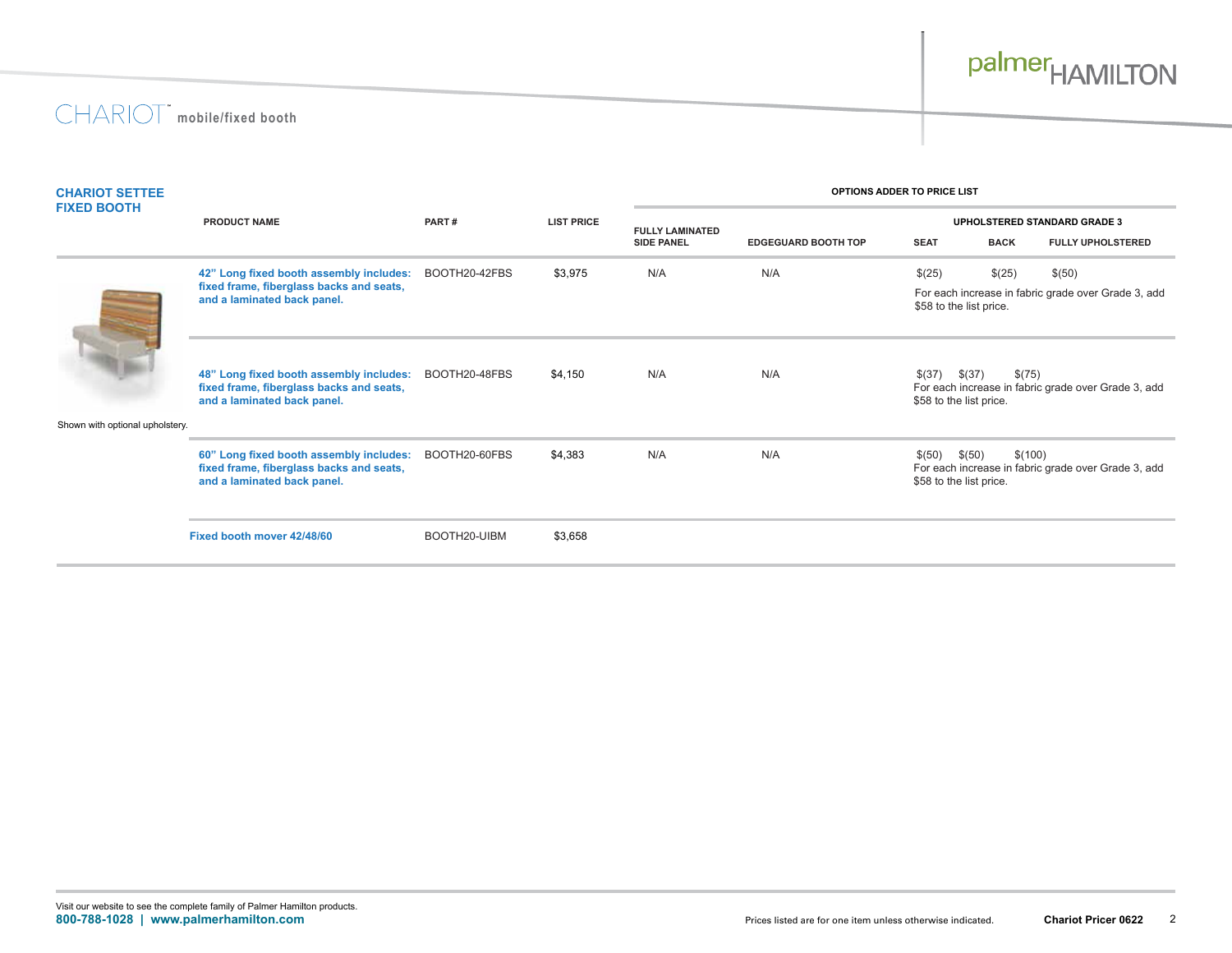

| <b>CHARIOT SETTEE</b><br><b>FIXED BOOTH</b> | <b>PRODUCT NAME</b>                                                                                                | PART#         |                   | OPTIONS ADDER TO PRICE LIST |                            |                                                                                                             |                   |                                                     |  |
|---------------------------------------------|--------------------------------------------------------------------------------------------------------------------|---------------|-------------------|-----------------------------|----------------------------|-------------------------------------------------------------------------------------------------------------|-------------------|-----------------------------------------------------|--|
|                                             |                                                                                                                    |               | <b>LIST PRICE</b> | <b>FULLY LAMINATED</b>      |                            | <b>UPHOLSTERED STANDARD GRADE 3</b>                                                                         |                   |                                                     |  |
|                                             |                                                                                                                    |               |                   | <b>SIDE PANEL</b>           | <b>EDGEGUARD BOOTH TOP</b> | <b>SEAT</b>                                                                                                 | <b>BACK</b>       | <b>FULLY UPHOLSTERED</b>                            |  |
|                                             | 42" Long fixed booth assembly includes:                                                                            | BOOTH20-42FBS | \$3,975           | N/A                         | N/A                        | \$(25)                                                                                                      | \$(25)            | \$(50)                                              |  |
|                                             | fixed frame, fiberglass backs and seats,<br>and a laminated back panel.                                            |               |                   |                             |                            | For each increase in fabric grade over Grade 3, add<br>\$58 to the list price.                              |                   |                                                     |  |
|                                             | 48" Long fixed booth assembly includes:<br>fixed frame, fiberglass backs and seats,<br>and a laminated back panel. | BOOTH20-48FBS | \$4,150           | N/A                         | N/A                        | \$(75)<br>$$(37)$ $$(37)$<br>For each increase in fabric grade over Grade 3, add<br>\$58 to the list price. |                   |                                                     |  |
| Shown with optional upholstery.             |                                                                                                                    |               |                   |                             |                            |                                                                                                             |                   |                                                     |  |
|                                             | 60" Long fixed booth assembly includes:<br>fixed frame, fiberglass backs and seats,<br>and a laminated back panel. | BOOTH20-60FBS | \$4,383           | N/A                         | N/A                        | \$(50)<br>\$58 to the list price.                                                                           | \$(50)<br>\$(100) | For each increase in fabric grade over Grade 3, add |  |
|                                             | Fixed booth mover 42/48/60                                                                                         | BOOTH20-UIBM  | \$3,658           |                             |                            |                                                                                                             |                   |                                                     |  |
|                                             |                                                                                                                    |               |                   |                             |                            |                                                                                                             |                   |                                                     |  |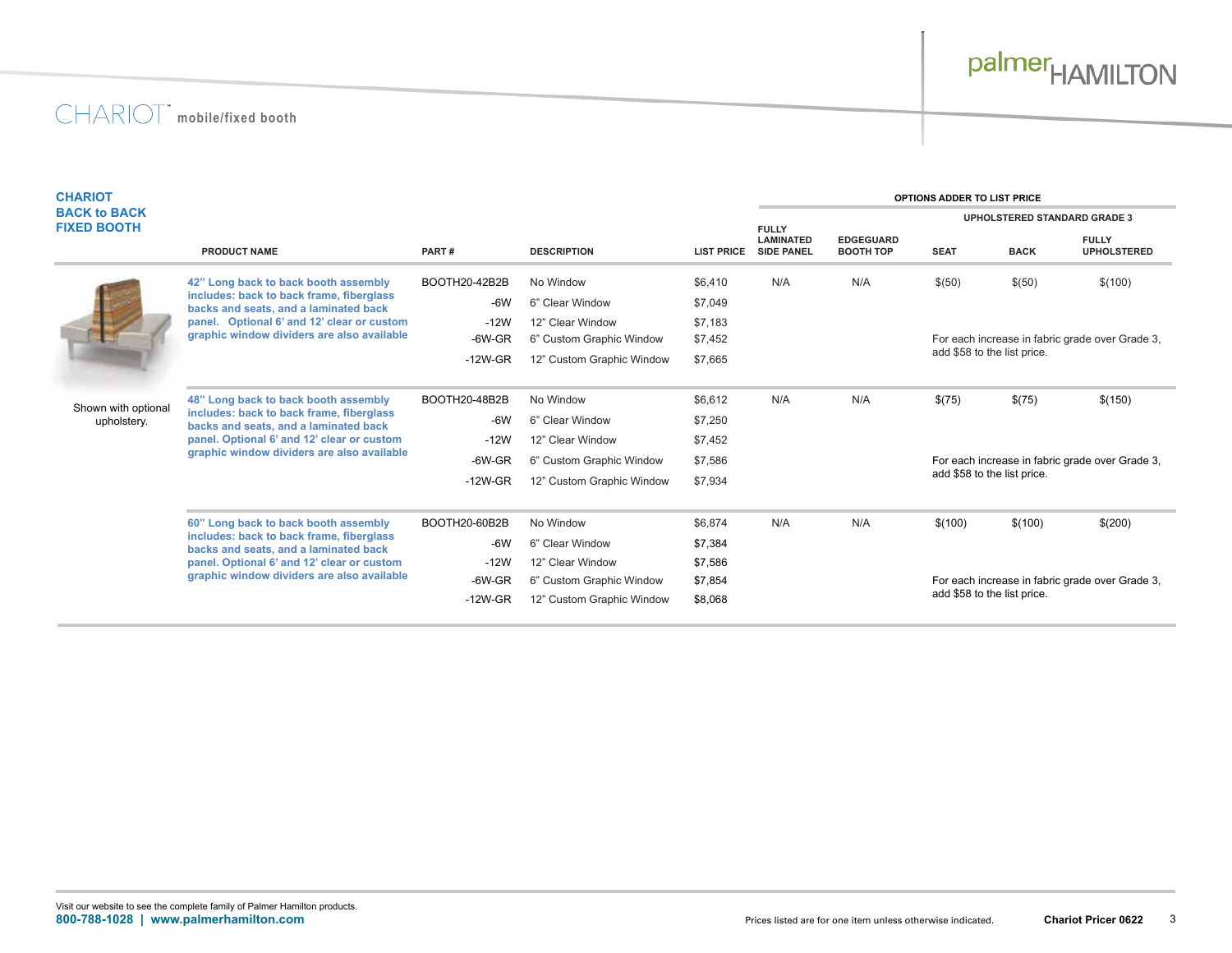# palmer<sub>HAMILTON</sub>

|                                                                                                                                                                                                                       |                                                                                                                                   |                           |                   |                                       | OPTIONS ADDER TO LIST PRICE          |                                                                                |             |                                                                                                               |  |
|-----------------------------------------------------------------------------------------------------------------------------------------------------------------------------------------------------------------------|-----------------------------------------------------------------------------------------------------------------------------------|---------------------------|-------------------|---------------------------------------|--------------------------------------|--------------------------------------------------------------------------------|-------------|---------------------------------------------------------------------------------------------------------------|--|
|                                                                                                                                                                                                                       |                                                                                                                                   |                           |                   |                                       | <b>UPHOLSTERED STANDARD GRADE 3</b>  |                                                                                |             |                                                                                                               |  |
| <b>PRODUCT NAME</b>                                                                                                                                                                                                   | PART#                                                                                                                             | <b>DESCRIPTION</b>        | <b>LIST PRICE</b> | <b>LAMINATED</b><br><b>SIDE PANEL</b> | <b>EDGEGUARD</b><br><b>BOOTH TOP</b> | <b>SEAT</b>                                                                    | <b>BACK</b> | <b>FULLY</b><br><b>UPHOLSTERED</b>                                                                            |  |
| 42" Long back to back booth assembly<br>includes: back to back frame, fiberglass                                                                                                                                      | BOOTH20-42B2B                                                                                                                     | No Window                 | \$6,410           | N/A                                   | N/A                                  | \$(50)                                                                         | \$(50)      | \$(100)                                                                                                       |  |
|                                                                                                                                                                                                                       | $-6W$                                                                                                                             | 6" Clear Window           | \$7,049           |                                       |                                      |                                                                                |             |                                                                                                               |  |
| panel. Optional 6' and 12' clear or custom                                                                                                                                                                            | $-12W$                                                                                                                            | 12" Clear Window          | \$7,183           |                                       |                                      |                                                                                |             |                                                                                                               |  |
|                                                                                                                                                                                                                       | $-6W$ -GR                                                                                                                         | 6" Custom Graphic Window  | \$7,452           |                                       |                                      |                                                                                |             | For each increase in fabric grade over Grade 3,                                                               |  |
|                                                                                                                                                                                                                       | $-12W$ -GR                                                                                                                        | 12" Custom Graphic Window | \$7,665           |                                       |                                      |                                                                                |             |                                                                                                               |  |
| 48" Long back to back booth assembly<br>includes: back to back frame, fiberglass<br>backs and seats, and a laminated back<br>panel. Optional 6' and 12' clear or custom<br>graphic window dividers are also available | BOOTH20-48B2B                                                                                                                     | No Window                 | \$6,612           | N/A                                   | N/A                                  | \$(75)                                                                         | \$(75)      | \$(150)                                                                                                       |  |
|                                                                                                                                                                                                                       | $-6W$                                                                                                                             | 6" Clear Window           | \$7,250           |                                       |                                      |                                                                                |             |                                                                                                               |  |
|                                                                                                                                                                                                                       | $-12W$                                                                                                                            | 12" Clear Window          | \$7,452           |                                       |                                      |                                                                                |             |                                                                                                               |  |
|                                                                                                                                                                                                                       | $-6W$ -GR                                                                                                                         | 6" Custom Graphic Window  | \$7,586           |                                       |                                      | For each increase in fabric grade over Grade 3,<br>add \$58 to the list price. |             |                                                                                                               |  |
|                                                                                                                                                                                                                       | $-12W$ -GR                                                                                                                        | 12" Custom Graphic Window | \$7,934           |                                       |                                      |                                                                                |             |                                                                                                               |  |
| 60" Long back to back booth assembly<br>includes: back to back frame, fiberglass<br>backs and seats, and a laminated back<br>panel. Optional 6' and 12' clear or custom                                               | BOOTH20-60B2B                                                                                                                     | No Window                 | \$6,874           | N/A                                   | N/A                                  | \$(100)                                                                        | \$(100)     | \$(200)                                                                                                       |  |
|                                                                                                                                                                                                                       | $-6W$                                                                                                                             | 6" Clear Window           | \$7,384           |                                       |                                      |                                                                                |             |                                                                                                               |  |
|                                                                                                                                                                                                                       | $-12W$                                                                                                                            | 12" Clear Window          | \$7,586           |                                       |                                      |                                                                                |             |                                                                                                               |  |
|                                                                                                                                                                                                                       | $-6W$ -GR                                                                                                                         | 6" Custom Graphic Window  | \$7,854           |                                       |                                      |                                                                                |             |                                                                                                               |  |
|                                                                                                                                                                                                                       | $-12W$ -GR                                                                                                                        | 12" Custom Graphic Window | \$8,068           |                                       |                                      |                                                                                |             |                                                                                                               |  |
|                                                                                                                                                                                                                       | backs and seats, and a laminated back<br>graphic window dividers are also available<br>graphic window dividers are also available |                           |                   |                                       | <b>FULLY</b>                         |                                                                                |             | add \$58 to the list price.<br>For each increase in fabric grade over Grade 3,<br>add \$58 to the list price. |  |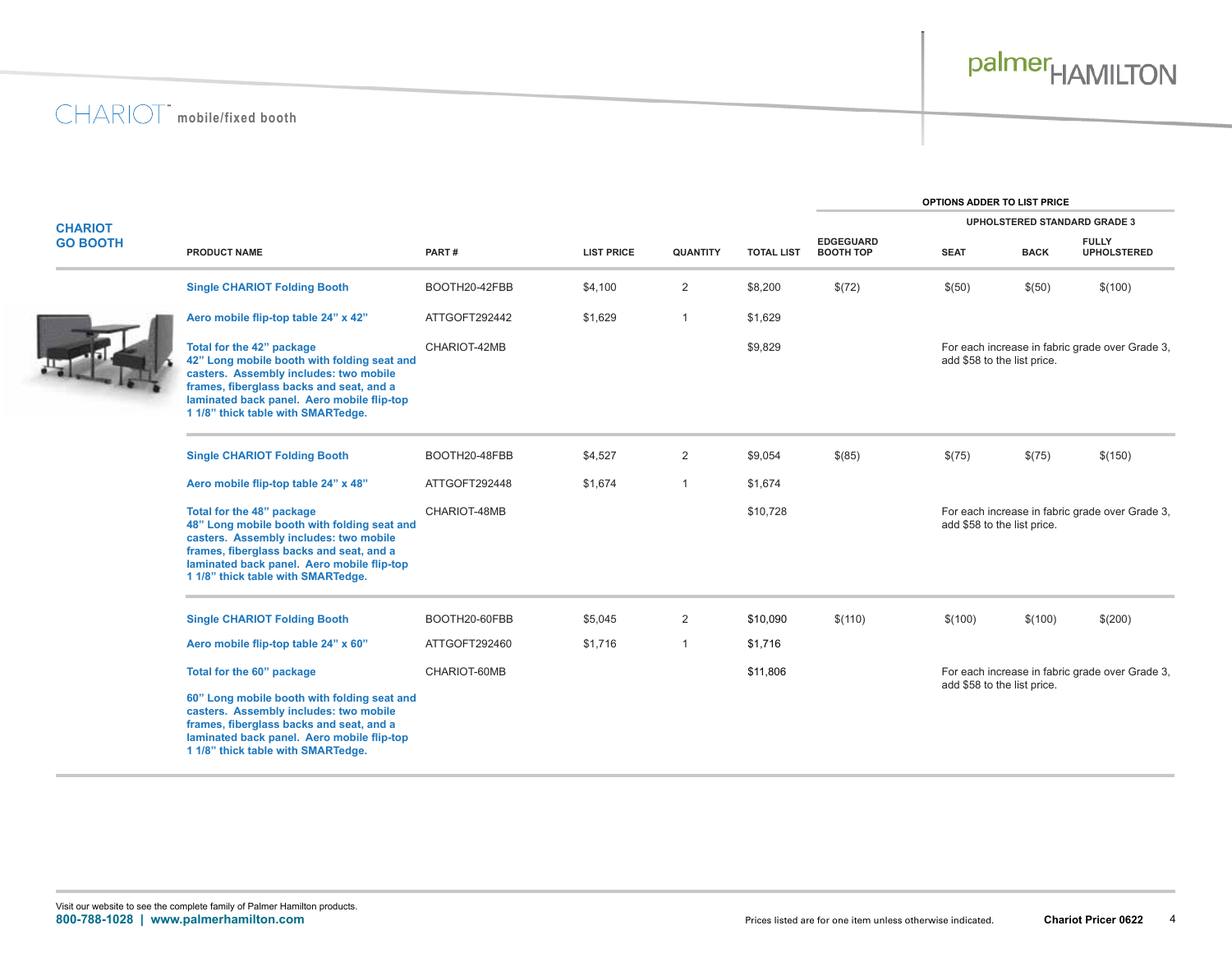**OPTIONS ADDER TO LIST PRICE**

| <b>CHARIOT</b><br><b>GO BOOTH</b> |                                                                                                                                                                                                                                                    |               |                   |                 |                   | <b>UPHOLSTERED STANDARD GRADE 3</b>  |                                                                                |                             |                                                 |
|-----------------------------------|----------------------------------------------------------------------------------------------------------------------------------------------------------------------------------------------------------------------------------------------------|---------------|-------------------|-----------------|-------------------|--------------------------------------|--------------------------------------------------------------------------------|-----------------------------|-------------------------------------------------|
|                                   | <b>PRODUCT NAME</b>                                                                                                                                                                                                                                | PART#         | <b>LIST PRICE</b> | <b>QUANTITY</b> | <b>TOTAL LIST</b> | <b>EDGEGUARD</b><br><b>BOOTH TOP</b> | <b>SEAT</b>                                                                    | <b>BACK</b>                 | <b>FULLY</b><br><b>UPHOLSTERED</b>              |
|                                   | <b>Single CHARIOT Folding Booth</b>                                                                                                                                                                                                                | BOOTH20-42FBB | \$4,100           | $\overline{2}$  | \$8,200           | \$(72)                               | \$(50)                                                                         | \$(50)                      | \$(100)                                         |
|                                   | Aero mobile flip-top table 24" x 42"                                                                                                                                                                                                               | ATTGOFT292442 | \$1,629           | $\mathbf 1$     | \$1,629           |                                      |                                                                                |                             |                                                 |
|                                   | Total for the 42" package<br>42" Long mobile booth with folding seat and<br>casters. Assembly includes: two mobile<br>frames, fiberglass backs and seat, and a<br>laminated back panel. Aero mobile flip-top<br>1 1/8" thick table with SMARTedge. | CHARIOT-42MB  |                   |                 | \$9,829           |                                      |                                                                                | add \$58 to the list price. | For each increase in fabric grade over Grade 3, |
|                                   | <b>Single CHARIOT Folding Booth</b>                                                                                                                                                                                                                | BOOTH20-48FBB | \$4,527           | 2               | \$9,054           | \$(85)                               | \$(75)                                                                         | \$(75)                      | \$(150)                                         |
|                                   | Aero mobile flip-top table 24" x 48"                                                                                                                                                                                                               | ATTGOFT292448 | \$1,674           | $\mathbf{1}$    | \$1,674           |                                      |                                                                                |                             |                                                 |
|                                   | Total for the 48" package<br>48" Long mobile booth with folding seat and<br>casters. Assembly includes: two mobile<br>frames, fiberglass backs and seat, and a<br>laminated back panel. Aero mobile flip-top<br>1 1/8" thick table with SMARTedge. | CHARIOT-48MB  |                   |                 | \$10,728          |                                      |                                                                                | add \$58 to the list price. | For each increase in fabric grade over Grade 3, |
|                                   | <b>Single CHARIOT Folding Booth</b>                                                                                                                                                                                                                | BOOTH20-60FBB | \$5,045           | $\overline{2}$  | \$10,090          | \$(110)                              | \$(100)                                                                        | \$(100)                     | \$(200)                                         |
|                                   | Aero mobile flip-top table 24" x 60"                                                                                                                                                                                                               | ATTGOFT292460 | \$1,716           | $\mathbf{1}$    | \$1,716           |                                      |                                                                                |                             |                                                 |
|                                   | Total for the 60" package                                                                                                                                                                                                                          | CHARIOT-60MB  |                   |                 | \$11,806          |                                      | For each increase in fabric grade over Grade 3,<br>add \$58 to the list price. |                             |                                                 |
|                                   | 60" Long mobile booth with folding seat and<br>casters. Assembly includes: two mobile<br>frames, fiberglass backs and seat, and a<br>laminated back panel. Aero mobile flip-top<br>1 1/8" thick table with SMARTedge.                              |               |                   |                 |                   |                                      |                                                                                |                             |                                                 |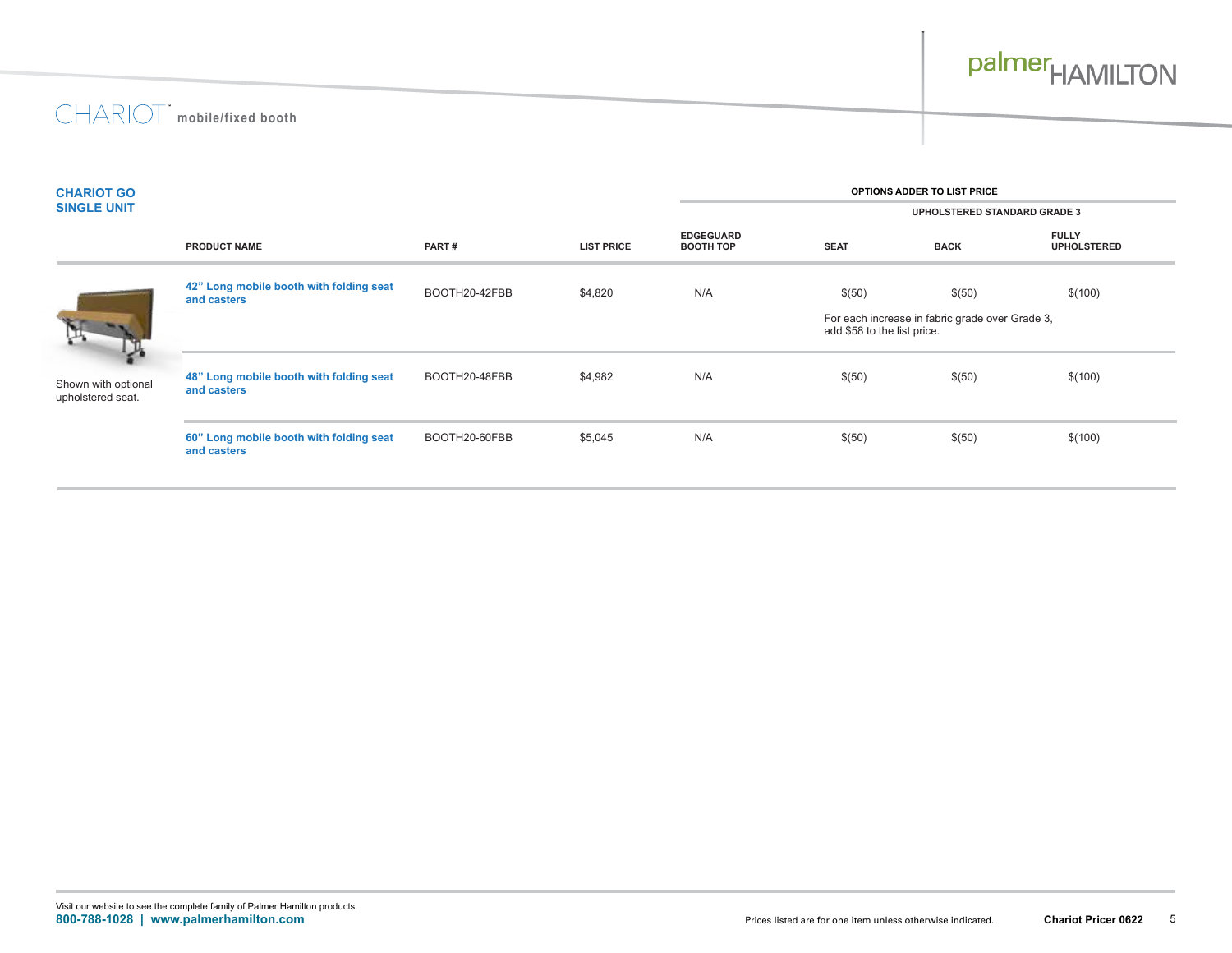

| <b>CHARIOT GO</b>                        |                                                        | OPTIONS ADDER TO LIST PRICE |                   |                                      |                                     |                                                                                |                                    |  |  |  |
|------------------------------------------|--------------------------------------------------------|-----------------------------|-------------------|--------------------------------------|-------------------------------------|--------------------------------------------------------------------------------|------------------------------------|--|--|--|
| <b>SINGLE UNIT</b>                       |                                                        |                             |                   |                                      | <b>UPHOLSTERED STANDARD GRADE 3</b> |                                                                                |                                    |  |  |  |
|                                          | <b>PRODUCT NAME</b>                                    | PART#                       | <b>LIST PRICE</b> | <b>EDGEGUARD</b><br><b>BOOTH TOP</b> | <b>SEAT</b>                         | <b>BACK</b>                                                                    | <b>FULLY</b><br><b>UPHOLSTERED</b> |  |  |  |
|                                          | 42" Long mobile booth with folding seat<br>and casters | BOOTH20-42FBB               | \$4,820           | N/A                                  | \$(50)                              | \$(50)                                                                         | \$(100)                            |  |  |  |
|                                          |                                                        |                             |                   |                                      |                                     | For each increase in fabric grade over Grade 3,<br>add \$58 to the list price. |                                    |  |  |  |
| Shown with optional<br>upholstered seat. | 48" Long mobile booth with folding seat<br>and casters | BOOTH20-48FBB               | \$4,982           | N/A                                  | \$(50)                              | \$(50)                                                                         | \$(100)                            |  |  |  |
|                                          | 60" Long mobile booth with folding seat<br>and casters | BOOTH20-60FBB               | \$5,045           | N/A                                  | \$(50)                              | \$(50)                                                                         | \$(100)                            |  |  |  |